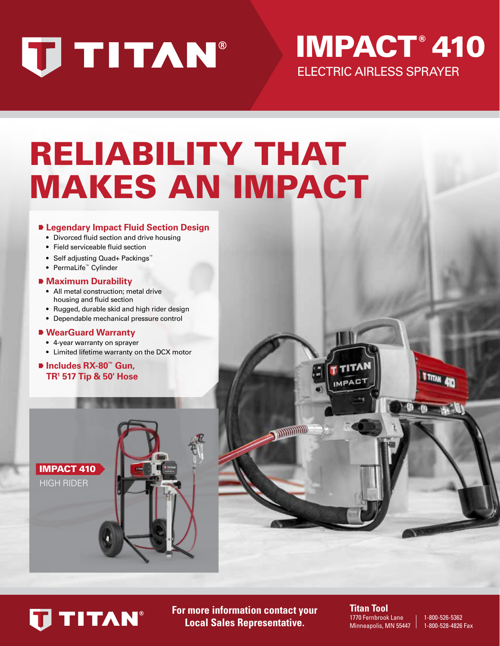# **WEITAN**

### IMPACT<sup>®</sup> 410 ELECTRIC AIRLESS SPRAYER

## RELIABILITY THAT MAKES AN IMPACT

#### **Legendary Impact Fluid Section Design**

- Divorced fluid section and drive housing
- Field serviceable fluid section
- Self adjusting Quad+ Packings™
- PermaLife™ Cylinder

#### **Maximum Durability**

- All metal construction; metal drive housing and fluid section
- Rugged, durable skid and high rider design
- Dependable mechanical pressure control

#### **WearGuard Warranty**

- 4-year warranty on sprayer
- Limited lifetime warranty on the DCX motor

**Includes RX-80™ Gun, TR1 517 Tip & 50' Hose**



*D* TITAN<sup>®</sup>



**For more information contact your Local Sales Representative.**

**Titan Tool** 1770 Fernbrook Lane | 1-800-526-5362 Minneapolis, MN 55447 | 1-800-528-4826 Fax

**IMPAC** 

**A DOMESTIC** 

TTTM 40